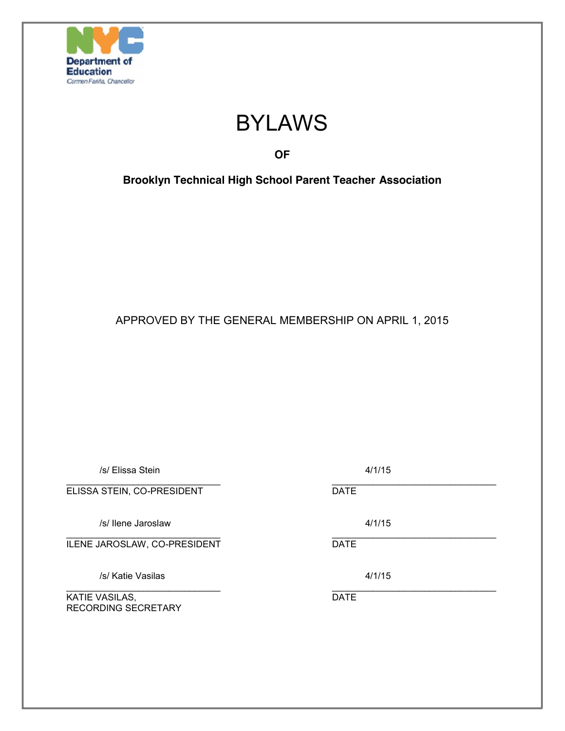

# BYLAWS

## **OF**

**Brooklyn Technical High School Parent Teacher Association**

APPROVED BY THE GENERAL MEMBERSHIP ON APRIL 1, 2015

| /s/ Elissa Stein                      |             | 4/1/15 |
|---------------------------------------|-------------|--------|
| ELISSA STEIN, CO-PRESIDENT            | <b>DATE</b> |        |
| /s/ llene Jaroslaw                    |             | 4/1/15 |
| ILENE JAROSLAW, CO-PRESIDENT          | <b>DATE</b> |        |
| /s/ Katie Vasilas                     |             | 4/1/15 |
| KATIE VASILAS,<br>RECORDING SECRETARY | <b>DATE</b> |        |
|                                       |             |        |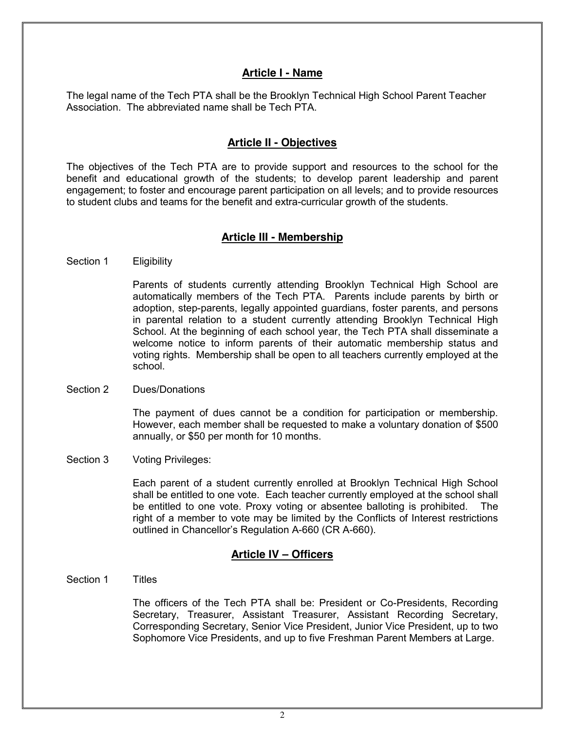## **Article I - Name**

The legal name of the Tech PTA shall be the Brooklyn Technical High School Parent Teacher Association. The abbreviated name shall be Tech PTA.

## **Article II - Objectives**

The objectives of the Tech PTA are to provide support and resources to the school for the benefit and educational growth of the students; to develop parent leadership and parent engagement; to foster and encourage parent participation on all levels; and to provide resources to student clubs and teams for the benefit and extra-curricular growth of the students.

## **Article III - Membership**

Section 1 Eligibility

Parents of students currently attending Brooklyn Technical High School are automatically members of the Tech PTA. Parents include parents by birth or adoption, step-parents, legally appointed guardians, foster parents, and persons in parental relation to a student currently attending Brooklyn Technical High School. At the beginning of each school year, the Tech PTA shall disseminate a welcome notice to inform parents of their automatic membership status and voting rights. Membership shall be open to all teachers currently employed at the school.

Section 2 Dues/Donations

The payment of dues cannot be a condition for participation or membership. However, each member shall be requested to make a voluntary donation of \$500 annually, or \$50 per month for 10 months.

Section 3 Voting Privileges:

Each parent of a student currently enrolled at Brooklyn Technical High School shall be entitled to one vote. Each teacher currently employed at the school shall be entitled to one vote. Proxy voting or absentee balloting is prohibited. The right of a member to vote may be limited by the Conflicts of Interest restrictions outlined in Chancellor's Regulation A-660 (CR A-660).

## **Article IV – Officers**

Section 1 Titles

The officers of the Tech PTA shall be: President or Co-Presidents, Recording Secretary, Treasurer, Assistant Treasurer, Assistant Recording Secretary, Corresponding Secretary, Senior Vice President, Junior Vice President, up to two Sophomore Vice Presidents, and up to five Freshman Parent Members at Large.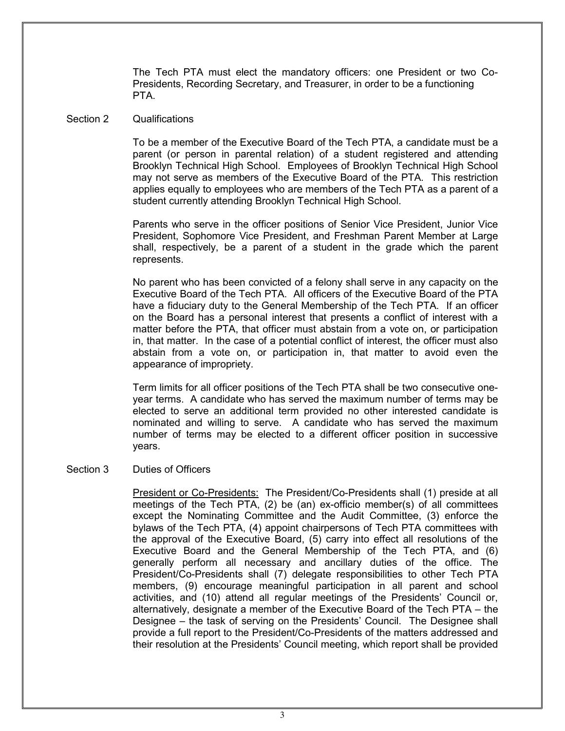The Tech PTA must elect the mandatory officers: one President or two Co-Presidents, Recording Secretary, and Treasurer, in order to be a functioning PTA.

#### Section 2 Qualifications

To be a member of the Executive Board of the Tech PTA, a candidate must be a parent (or person in parental relation) of a student registered and attending Brooklyn Technical High School. Employees of Brooklyn Technical High School may not serve as members of the Executive Board of the PTA. This restriction applies equally to employees who are members of the Tech PTA as a parent of a student currently attending Brooklyn Technical High School.

Parents who serve in the officer positions of Senior Vice President, Junior Vice President, Sophomore Vice President, and Freshman Parent Member at Large shall, respectively, be a parent of a student in the grade which the parent represents.

No parent who has been convicted of a felony shall serve in any capacity on the Executive Board of the Tech PTA. All officers of the Executive Board of the PTA have a fiduciary duty to the General Membership of the Tech PTA. If an officer on the Board has a personal interest that presents a conflict of interest with a matter before the PTA, that officer must abstain from a vote on, or participation in, that matter. In the case of a potential conflict of interest, the officer must also abstain from a vote on, or participation in, that matter to avoid even the appearance of impropriety.

Term limits for all officer positions of the Tech PTA shall be two consecutive oneyear terms. A candidate who has served the maximum number of terms may be elected to serve an additional term provided no other interested candidate is nominated and willing to serve. A candidate who has served the maximum number of terms may be elected to a different officer position in successive years.

#### Section 3 Duties of Officers

President or Co-Presidents: The President/Co-Presidents shall (1) preside at all meetings of the Tech PTA, (2) be (an) ex-officio member(s) of all committees except the Nominating Committee and the Audit Committee, (3) enforce the bylaws of the Tech PTA, (4) appoint chairpersons of Tech PTA committees with the approval of the Executive Board, (5) carry into effect all resolutions of the Executive Board and the General Membership of the Tech PTA, and (6) generally perform all necessary and ancillary duties of the office. The President/Co-Presidents shall (7) delegate responsibilities to other Tech PTA members, (9) encourage meaningful participation in all parent and school activities, and (10) attend all regular meetings of the Presidents' Council or, alternatively, designate a member of the Executive Board of the Tech PTA – the Designee – the task of serving on the Presidents' Council. The Designee shall provide a full report to the President/Co-Presidents of the matters addressed and their resolution at the Presidents' Council meeting, which report shall be provided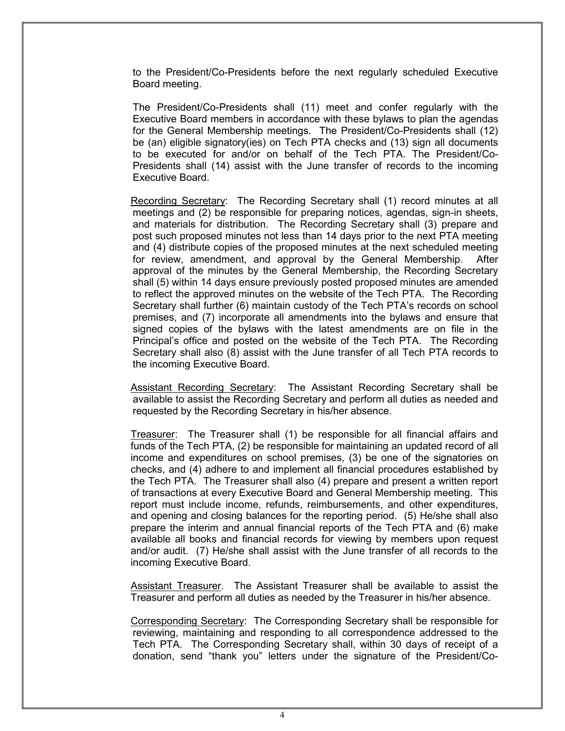to the President/Co-Presidents before the next regularly scheduled Executive Board meeting.

The President/Co-Presidents shall (11) meet and confer regularly with the Executive Board members in accordance with these bylaws to plan the agendas for the General Membership meetings. The President/Co-Presidents shall (12) be (an) eligible signatory(ies) on Tech PTA checks and (13) sign all documents to be executed for and/or on behalf of the Tech PTA. The President/Co-Presidents shall (14) assist with the June transfer of records to the incoming Executive Board.

Recording Secretary: The Recording Secretary shall (1) record minutes at all meetings and (2) be responsible for preparing notices, agendas, sign-in sheets, and materials for distribution. The Recording Secretary shall (3) prepare and post such proposed minutes not less than 14 days prior to the next PTA meeting and (4) distribute copies of the proposed minutes at the next scheduled meeting for review, amendment, and approval by the General Membership. After approval of the minutes by the General Membership, the Recording Secretary shall (5) within 14 days ensure previously posted proposed minutes are amended to reflect the approved minutes on the website of the Tech PTA. The Recording Secretary shall further (6) maintain custody of the Tech PTA's records on school premises, and (7) incorporate all amendments into the bylaws and ensure that signed copies of the bylaws with the latest amendments are on file in the Principal's office and posted on the website of the Tech PTA. The Recording Secretary shall also (8) assist with the June transfer of all Tech PTA records to the incoming Executive Board.

Assistant Recording Secretary: The Assistant Recording Secretary shall be available to assist the Recording Secretary and perform all duties as needed and requested by the Recording Secretary in his/her absence.

Treasurer: The Treasurer shall (1) be responsible for all financial affairs and funds of the Tech PTA, (2) be responsible for maintaining an updated record of all income and expenditures on school premises, (3) be one of the signatories on checks, and (4) adhere to and implement all financial procedures established by the Tech PTA. The Treasurer shall also (4) prepare and present a written report of transactions at every Executive Board and General Membership meeting. This report must include income, refunds, reimbursements, and other expenditures, and opening and closing balances for the reporting period. (5) He/she shall also prepare the interim and annual financial reports of the Tech PTA and (6) make available all books and financial records for viewing by members upon request and/or audit. (7) He/she shall assist with the June transfer of all records to the incoming Executive Board.

Assistant Treasurer. The Assistant Treasurer shall be available to assist the Treasurer and perform all duties as needed by the Treasurer in his/her absence.

Corresponding Secretary: The Corresponding Secretary shall be responsible for reviewing, maintaining and responding to all correspondence addressed to the Tech PTA. The Corresponding Secretary shall, within 30 days of receipt of a donation, send "thank you" letters under the signature of the President/Co-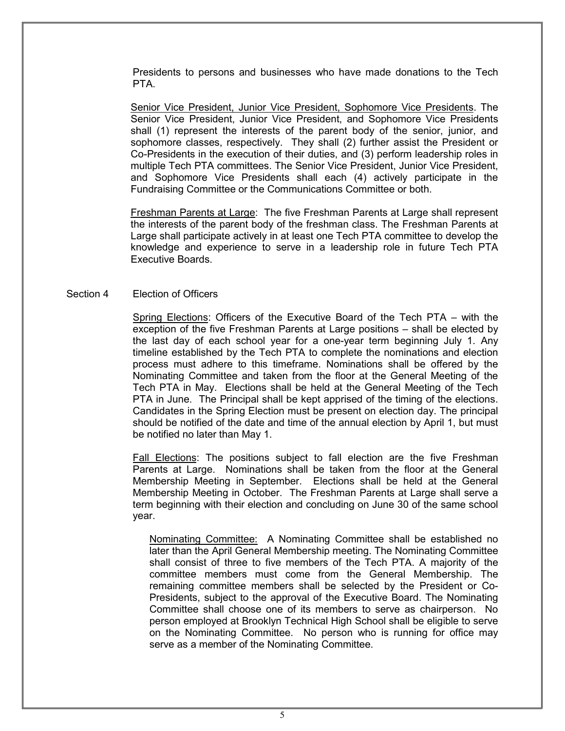Presidents to persons and businesses who have made donations to the Tech PTA.

Senior Vice President, Junior Vice President, Sophomore Vice Presidents. The Senior Vice President, Junior Vice President, and Sophomore Vice Presidents shall (1) represent the interests of the parent body of the senior, junior, and sophomore classes, respectively. They shall (2) further assist the President or Co-Presidents in the execution of their duties, and (3) perform leadership roles in multiple Tech PTA committees. The Senior Vice President, Junior Vice President, and Sophomore Vice Presidents shall each (4) actively participate in the Fundraising Committee or the Communications Committee or both.

Freshman Parents at Large: The five Freshman Parents at Large shall represent the interests of the parent body of the freshman class. The Freshman Parents at Large shall participate actively in at least one Tech PTA committee to develop the knowledge and experience to serve in a leadership role in future Tech PTA Executive Boards.

#### Section 4 Election of Officers

Spring Elections: Officers of the Executive Board of the Tech PTA – with the exception of the five Freshman Parents at Large positions – shall be elected by the last day of each school year for a one-year term beginning July 1. Any timeline established by the Tech PTA to complete the nominations and election process must adhere to this timeframe. Nominations shall be offered by the Nominating Committee and taken from the floor at the General Meeting of the Tech PTA in May. Elections shall be held at the General Meeting of the Tech PTA in June. The Principal shall be kept apprised of the timing of the elections. Candidates in the Spring Election must be present on election day. The principal should be notified of the date and time of the annual election by April 1, but must be notified no later than May 1.

Fall Elections: The positions subject to fall election are the five Freshman Parents at Large. Nominations shall be taken from the floor at the General Membership Meeting in September. Elections shall be held at the General Membership Meeting in October. The Freshman Parents at Large shall serve a term beginning with their election and concluding on June 30 of the same school year.

Nominating Committee: A Nominating Committee shall be established no later than the April General Membership meeting. The Nominating Committee shall consist of three to five members of the Tech PTA. A majority of the committee members must come from the General Membership. The remaining committee members shall be selected by the President or Co-Presidents, subject to the approval of the Executive Board. The Nominating Committee shall choose one of its members to serve as chairperson. No person employed at Brooklyn Technical High School shall be eligible to serve on the Nominating Committee. No person who is running for office may serve as a member of the Nominating Committee.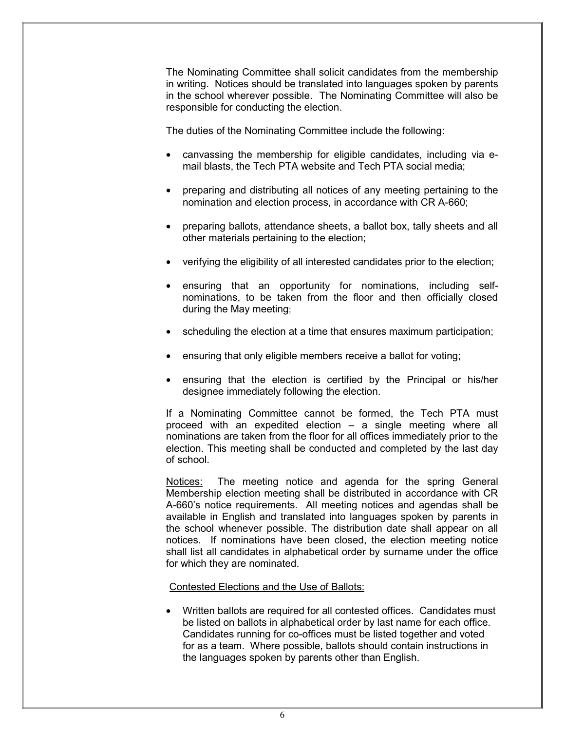The Nominating Committee shall solicit candidates from the membership in writing. Notices should be translated into languages spoken by parents in the school wherever possible. The Nominating Committee will also be responsible for conducting the election.

The duties of the Nominating Committee include the following:

- canvassing the membership for eligible candidates, including via email blasts, the Tech PTA website and Tech PTA social media;
- preparing and distributing all notices of any meeting pertaining to the nomination and election process, in accordance with CR A-660;
- preparing ballots, attendance sheets, a ballot box, tally sheets and all other materials pertaining to the election;
- verifying the eligibility of all interested candidates prior to the election;
- ensuring that an opportunity for nominations, including selfnominations, to be taken from the floor and then officially closed during the May meeting;
- scheduling the election at a time that ensures maximum participation;
- ensuring that only eligible members receive a ballot for voting;
- ensuring that the election is certified by the Principal or his/her designee immediately following the election.

If a Nominating Committee cannot be formed, the Tech PTA must proceed with an expedited election – a single meeting where all nominations are taken from the floor for all offices immediately prior to the election. This meeting shall be conducted and completed by the last day of school.

Notices: The meeting notice and agenda for the spring General Membership election meeting shall be distributed in accordance with CR A-660's notice requirements. All meeting notices and agendas shall be available in English and translated into languages spoken by parents in the school whenever possible. The distribution date shall appear on all notices. If nominations have been closed, the election meeting notice shall list all candidates in alphabetical order by surname under the office for which they are nominated.

#### Contested Elections and the Use of Ballots:

• Written ballots are required for all contested offices. Candidates must be listed on ballots in alphabetical order by last name for each office. Candidates running for co-offices must be listed together and voted for as a team. Where possible, ballots should contain instructions in the languages spoken by parents other than English.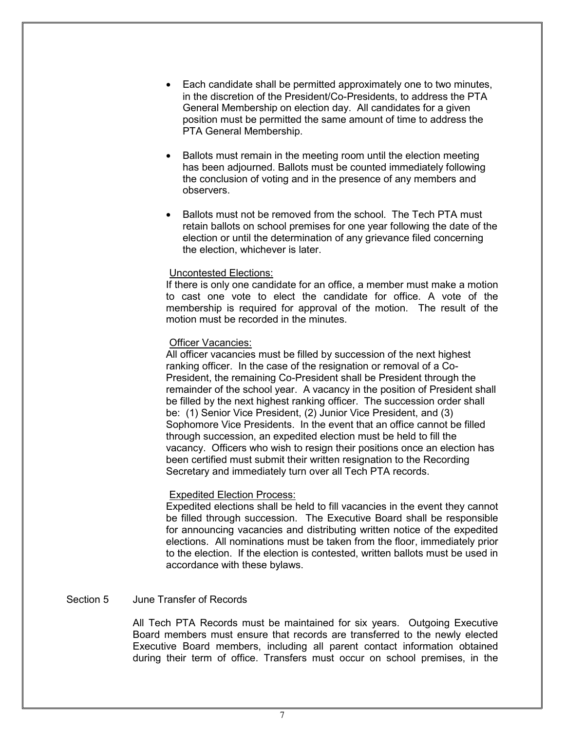- Each candidate shall be permitted approximately one to two minutes, in the discretion of the President/Co-Presidents, to address the PTA General Membership on election day. All candidates for a given position must be permitted the same amount of time to address the PTA General Membership.
- Ballots must remain in the meeting room until the election meeting has been adjourned. Ballots must be counted immediately following the conclusion of voting and in the presence of any members and observers.
- Ballots must not be removed from the school. The Tech PTA must retain ballots on school premises for one year following the date of the election or until the determination of any grievance filed concerning the election, whichever is later.

#### Uncontested Elections:

If there is only one candidate for an office, a member must make a motion to cast one vote to elect the candidate for office. A vote of the membership is required for approval of the motion. The result of the motion must be recorded in the minutes.

#### Officer Vacancies:

All officer vacancies must be filled by succession of the next highest ranking officer. In the case of the resignation or removal of a Co-President, the remaining Co-President shall be President through the remainder of the school year. A vacancy in the position of President shall be filled by the next highest ranking officer. The succession order shall be: (1) Senior Vice President, (2) Junior Vice President, and (3) Sophomore Vice Presidents. In the event that an office cannot be filled through succession, an expedited election must be held to fill the vacancy. Officers who wish to resign their positions once an election has been certified must submit their written resignation to the Recording Secretary and immediately turn over all Tech PTA records.

#### Expedited Election Process:

Expedited elections shall be held to fill vacancies in the event they cannot be filled through succession. The Executive Board shall be responsible for announcing vacancies and distributing written notice of the expedited elections. All nominations must be taken from the floor, immediately prior to the election. If the election is contested, written ballots must be used in accordance with these bylaws.

#### Section 5 June Transfer of Records

All Tech PTA Records must be maintained for six years. Outgoing Executive Board members must ensure that records are transferred to the newly elected Executive Board members, including all parent contact information obtained during their term of office. Transfers must occur on school premises, in the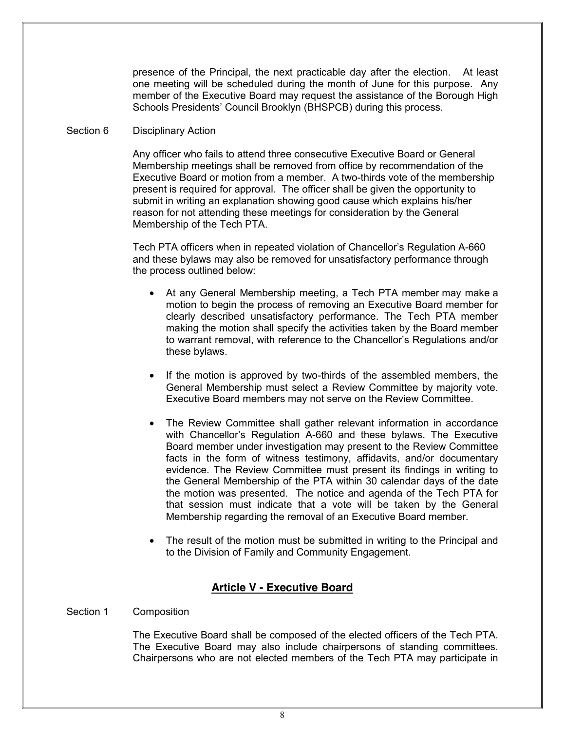presence of the Principal, the next practicable day after the election. At least one meeting will be scheduled during the month of June for this purpose. Any member of the Executive Board may request the assistance of the Borough High Schools Presidents' Council Brooklyn (BHSPCB) during this process.

#### Section 6 Disciplinary Action

Any officer who fails to attend three consecutive Executive Board or General Membership meetings shall be removed from office by recommendation of the Executive Board or motion from a member. A two-thirds vote of the membership present is required for approval. The officer shall be given the opportunity to submit in writing an explanation showing good cause which explains his/her reason for not attending these meetings for consideration by the General Membership of the Tech PTA.

Tech PTA officers when in repeated violation of Chancellor's Regulation A-660 and these bylaws may also be removed for unsatisfactory performance through the process outlined below:

- At any General Membership meeting, a Tech PTA member may make a motion to begin the process of removing an Executive Board member for clearly described unsatisfactory performance. The Tech PTA member making the motion shall specify the activities taken by the Board member to warrant removal, with reference to the Chancellor's Regulations and/or these bylaws.
- If the motion is approved by two-thirds of the assembled members, the General Membership must select a Review Committee by majority vote. Executive Board members may not serve on the Review Committee.
- The Review Committee shall gather relevant information in accordance with Chancellor's Regulation A-660 and these bylaws. The Executive Board member under investigation may present to the Review Committee facts in the form of witness testimony, affidavits, and/or documentary evidence. The Review Committee must present its findings in writing to the General Membership of the PTA within 30 calendar days of the date the motion was presented. The notice and agenda of the Tech PTA for that session must indicate that a vote will be taken by the General Membership regarding the removal of an Executive Board member.
- The result of the motion must be submitted in writing to the Principal and to the Division of Family and Community Engagement.

## **Article V - Executive Board**

#### Section 1 Composition

The Executive Board shall be composed of the elected officers of the Tech PTA. The Executive Board may also include chairpersons of standing committees. Chairpersons who are not elected members of the Tech PTA may participate in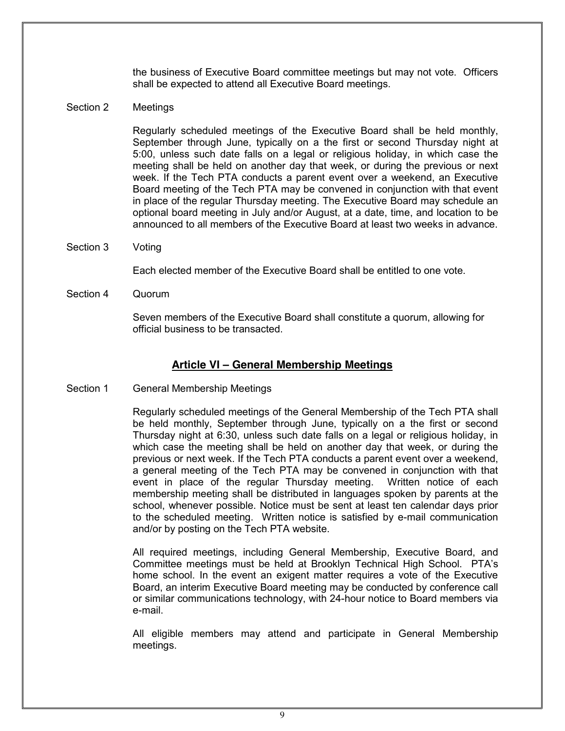the business of Executive Board committee meetings but may not vote. Officers shall be expected to attend all Executive Board meetings.

#### Section 2 Meetings

Regularly scheduled meetings of the Executive Board shall be held monthly, September through June, typically on a the first or second Thursday night at 5:00, unless such date falls on a legal or religious holiday, in which case the meeting shall be held on another day that week, or during the previous or next week. If the Tech PTA conducts a parent event over a weekend, an Executive Board meeting of the Tech PTA may be convened in conjunction with that event in place of the regular Thursday meeting. The Executive Board may schedule an optional board meeting in July and/or August, at a date, time, and location to be announced to all members of the Executive Board at least two weeks in advance.

Section 3 Voting

Each elected member of the Executive Board shall be entitled to one vote.

Section 4 Quorum

Seven members of the Executive Board shall constitute a quorum, allowing for official business to be transacted.

## **Article VI – General Membership Meetings**

Section 1 General Membership Meetings

Regularly scheduled meetings of the General Membership of the Tech PTA shall be held monthly, September through June, typically on a the first or second Thursday night at 6:30, unless such date falls on a legal or religious holiday, in which case the meeting shall be held on another day that week, or during the previous or next week. If the Tech PTA conducts a parent event over a weekend, a general meeting of the Tech PTA may be convened in conjunction with that event in place of the regular Thursday meeting. Written notice of each membership meeting shall be distributed in languages spoken by parents at the school, whenever possible. Notice must be sent at least ten calendar days prior to the scheduled meeting. Written notice is satisfied by e-mail communication and/or by posting on the Tech PTA website.

All required meetings, including General Membership, Executive Board, and Committee meetings must be held at Brooklyn Technical High School. PTA's home school. In the event an exigent matter requires a vote of the Executive Board, an interim Executive Board meeting may be conducted by conference call or similar communications technology, with 24-hour notice to Board members via e-mail.

All eligible members may attend and participate in General Membership meetings.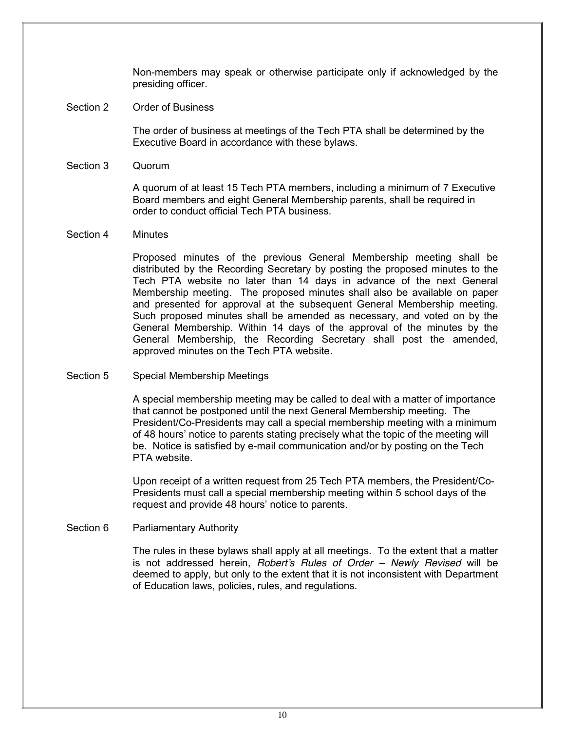Non-members may speak or otherwise participate only if acknowledged by the presiding officer.

Section 2 Order of Business

The order of business at meetings of the Tech PTA shall be determined by the Executive Board in accordance with these bylaws.

Section 3 Quorum

A quorum of at least 15 Tech PTA members, including a minimum of 7 Executive Board members and eight General Membership parents, shall be required in order to conduct official Tech PTA business.

#### Section 4 Minutes

Proposed minutes of the previous General Membership meeting shall be distributed by the Recording Secretary by posting the proposed minutes to the Tech PTA website no later than 14 days in advance of the next General Membership meeting. The proposed minutes shall also be available on paper and presented for approval at the subsequent General Membership meeting. Such proposed minutes shall be amended as necessary, and voted on by the General Membership. Within 14 days of the approval of the minutes by the General Membership, the Recording Secretary shall post the amended, approved minutes on the Tech PTA website.

Section 5 Special Membership Meetings

A special membership meeting may be called to deal with a matter of importance that cannot be postponed until the next General Membership meeting. The President/Co-Presidents may call a special membership meeting with a minimum of 48 hours' notice to parents stating precisely what the topic of the meeting will be. Notice is satisfied by e-mail communication and/or by posting on the Tech PTA website.

Upon receipt of a written request from 25 Tech PTA members, the President/Co-Presidents must call a special membership meeting within 5 school days of the request and provide 48 hours' notice to parents.

Section 6 Parliamentary Authority

The rules in these bylaws shall apply at all meetings. To the extent that a matter is not addressed herein, *Robert's Rules of Order – Newly Revised* will be deemed to apply, but only to the extent that it is not inconsistent with Department of Education laws, policies, rules, and regulations.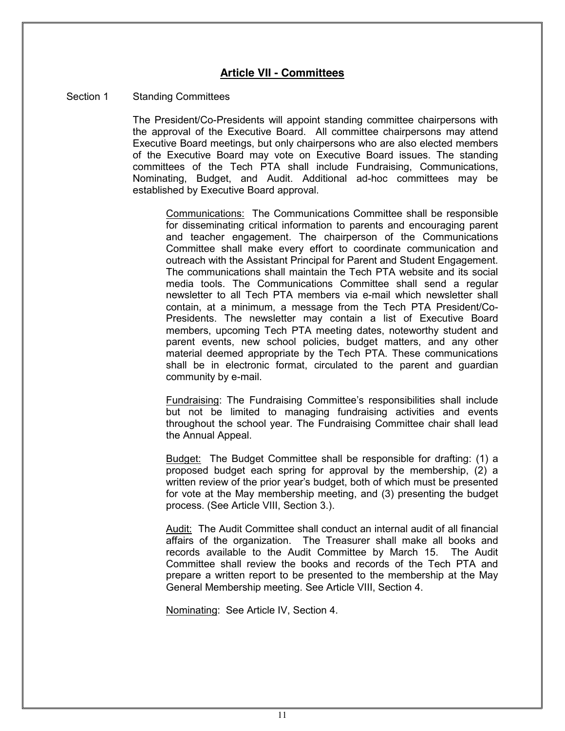## **Article VII - Committees**

#### Section 1 Standing Committees

The President/Co-Presidents will appoint standing committee chairpersons with the approval of the Executive Board. All committee chairpersons may attend Executive Board meetings, but only chairpersons who are also elected members of the Executive Board may vote on Executive Board issues. The standing committees of the Tech PTA shall include Fundraising, Communications, Nominating, Budget, and Audit. Additional ad-hoc committees may be established by Executive Board approval.

Communications: The Communications Committee shall be responsible for disseminating critical information to parents and encouraging parent and teacher engagement. The chairperson of the Communications Committee shall make every effort to coordinate communication and outreach with the Assistant Principal for Parent and Student Engagement. The communications shall maintain the Tech PTA website and its social media tools. The Communications Committee shall send a regular newsletter to all Tech PTA members via e-mail which newsletter shall contain, at a minimum, a message from the Tech PTA President/Co-Presidents. The newsletter may contain a list of Executive Board members, upcoming Tech PTA meeting dates, noteworthy student and parent events, new school policies, budget matters, and any other material deemed appropriate by the Tech PTA. These communications shall be in electronic format, circulated to the parent and guardian community by e-mail.

Fundraising: The Fundraising Committee's responsibilities shall include but not be limited to managing fundraising activities and events throughout the school year. The Fundraising Committee chair shall lead the Annual Appeal.

Budget: The Budget Committee shall be responsible for drafting: (1) a proposed budget each spring for approval by the membership, (2) a written review of the prior year's budget, both of which must be presented for vote at the May membership meeting, and (3) presenting the budget process. (See Article VIII, Section 3.).

Audit: The Audit Committee shall conduct an internal audit of all financial affairs of the organization. The Treasurer shall make all books and records available to the Audit Committee by March 15. The Audit Committee shall review the books and records of the Tech PTA and prepare a written report to be presented to the membership at the May General Membership meeting. See Article VIII, Section 4.

Nominating: See Article IV, Section 4.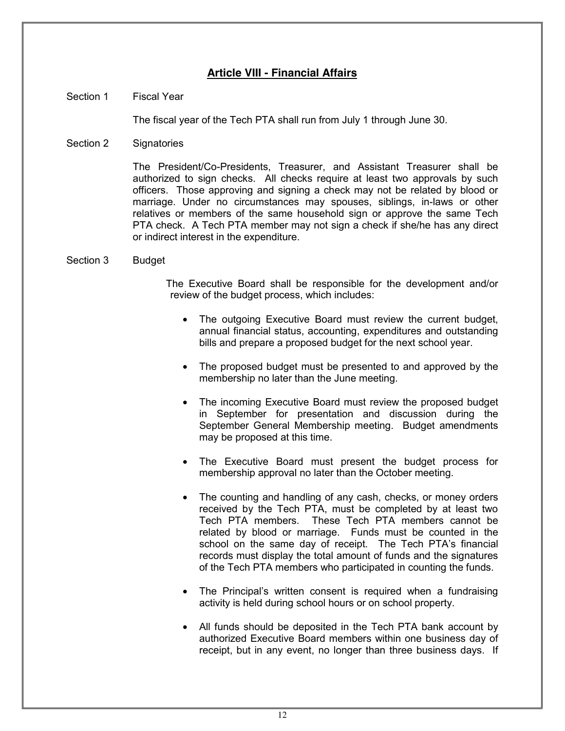## **Article VIII - Financial Affairs**

#### Section 1 Fiscal Year

The fiscal year of the Tech PTA shall run from July 1 through June 30.

Section 2 Signatories

The President/Co-Presidents, Treasurer, and Assistant Treasurer shall be authorized to sign checks. All checks require at least two approvals by such officers. Those approving and signing a check may not be related by blood or marriage. Under no circumstances may spouses, siblings, in-laws or other relatives or members of the same household sign or approve the same Tech PTA check. A Tech PTA member may not sign a check if she/he has any direct or indirect interest in the expenditure.

#### Section 3 Budget

The Executive Board shall be responsible for the development and/or review of the budget process, which includes:

- The outgoing Executive Board must review the current budget, annual financial status, accounting, expenditures and outstanding bills and prepare a proposed budget for the next school year.
- The proposed budget must be presented to and approved by the membership no later than the June meeting.
- The incoming Executive Board must review the proposed budget in September for presentation and discussion during the September General Membership meeting. Budget amendments may be proposed at this time.
- The Executive Board must present the budget process for membership approval no later than the October meeting.
- The counting and handling of any cash, checks, or money orders received by the Tech PTA, must be completed by at least two Tech PTA members. These Tech PTA members cannot be related by blood or marriage. Funds must be counted in the school on the same day of receipt. The Tech PTA's financial records must display the total amount of funds and the signatures of the Tech PTA members who participated in counting the funds.
- The Principal's written consent is required when a fundraising activity is held during school hours or on school property.
- All funds should be deposited in the Tech PTA bank account by authorized Executive Board members within one business day of receipt, but in any event, no longer than three business days. If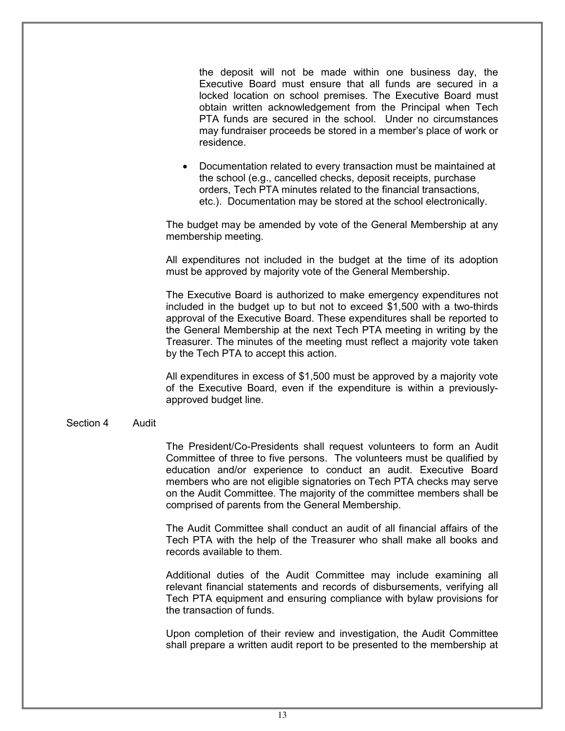the deposit will not be made within one business day, the Executive Board must ensure that all funds are secured in a locked location on school premises. The Executive Board must obtain written acknowledgement from the Principal when Tech PTA funds are secured in the school. Under no circumstances may fundraiser proceeds be stored in a member's place of work or residence.

• Documentation related to every transaction must be maintained at the school (e.g., cancelled checks, deposit receipts, purchase orders, Tech PTA minutes related to the financial transactions, etc.). Documentation may be stored at the school electronically.

The budget may be amended by vote of the General Membership at any membership meeting.

All expenditures not included in the budget at the time of its adoption must be approved by majority vote of the General Membership.

The Executive Board is authorized to make emergency expenditures not included in the budget up to but not to exceed \$1,500 with a two-thirds approval of the Executive Board. These expenditures shall be reported to the General Membership at the next Tech PTA meeting in writing by the Treasurer. The minutes of the meeting must reflect a majority vote taken by the Tech PTA to accept this action.

All expenditures in excess of \$1,500 must be approved by a majority vote of the Executive Board, even if the expenditure is within a previouslyapproved budget line.

#### Section 4 Audit

The President/Co-Presidents shall request volunteers to form an Audit Committee of three to five persons. The volunteers must be qualified by education and/or experience to conduct an audit. Executive Board members who are not eligible signatories on Tech PTA checks may serve on the Audit Committee. The majority of the committee members shall be comprised of parents from the General Membership.

The Audit Committee shall conduct an audit of all financial affairs of the Tech PTA with the help of the Treasurer who shall make all books and records available to them.

Additional duties of the Audit Committee may include examining all relevant financial statements and records of disbursements, verifying all Tech PTA equipment and ensuring compliance with bylaw provisions for the transaction of funds.

Upon completion of their review and investigation, the Audit Committee shall prepare a written audit report to be presented to the membership at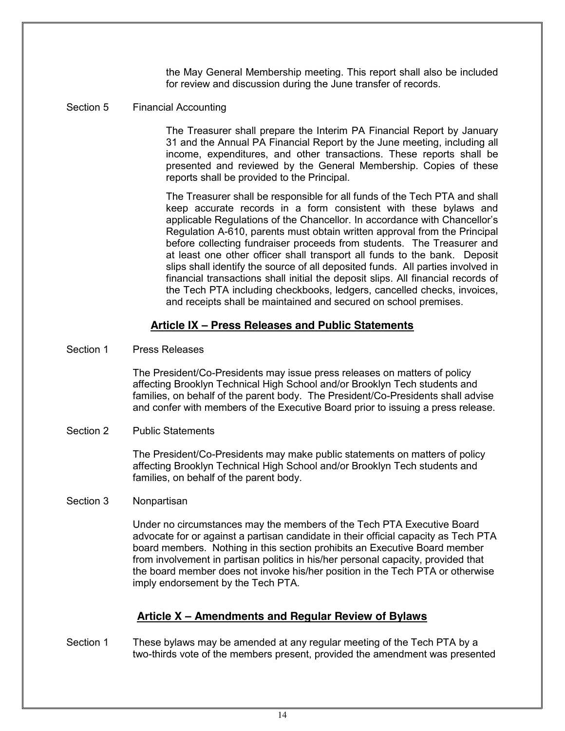the May General Membership meeting. This report shall also be included for review and discussion during the June transfer of records.

#### Section 5 Financial Accounting

The Treasurer shall prepare the Interim PA Financial Report by January 31 and the Annual PA Financial Report by the June meeting, including all income, expenditures, and other transactions. These reports shall be presented and reviewed by the General Membership. Copies of these reports shall be provided to the Principal.

The Treasurer shall be responsible for all funds of the Tech PTA and shall keep accurate records in a form consistent with these bylaws and applicable Regulations of the Chancellor. In accordance with Chancellor's Regulation A-610, parents must obtain written approval from the Principal before collecting fundraiser proceeds from students. The Treasurer and at least one other officer shall transport all funds to the bank. Deposit slips shall identify the source of all deposited funds. All parties involved in financial transactions shall initial the deposit slips*.* All financial records of the Tech PTA including checkbooks, ledgers, cancelled checks, invoices, and receipts shall be maintained and secured on school premises.

#### **Article IX – Press Releases and Public Statements**

#### Section 1 Press Releases

The President/Co-Presidents may issue press releases on matters of policy affecting Brooklyn Technical High School and/or Brooklyn Tech students and families, on behalf of the parent body. The President/Co-Presidents shall advise and confer with members of the Executive Board prior to issuing a press release.

#### Section 2 Public Statements

The President/Co-Presidents may make public statements on matters of policy affecting Brooklyn Technical High School and/or Brooklyn Tech students and families, on behalf of the parent body.

#### Section 3 Nonpartisan

Under no circumstances may the members of the Tech PTA Executive Board advocate for or against a partisan candidate in their official capacity as Tech PTA board members. Nothing in this section prohibits an Executive Board member from involvement in partisan politics in his/her personal capacity, provided that the board member does not invoke his/her position in the Tech PTA or otherwise imply endorsement by the Tech PTA.

#### **Article X – Amendments and Regular Review of Bylaws**

Section 1 These bylaws may be amended at any regular meeting of the Tech PTA by a two-thirds vote of the members present, provided the amendment was presented